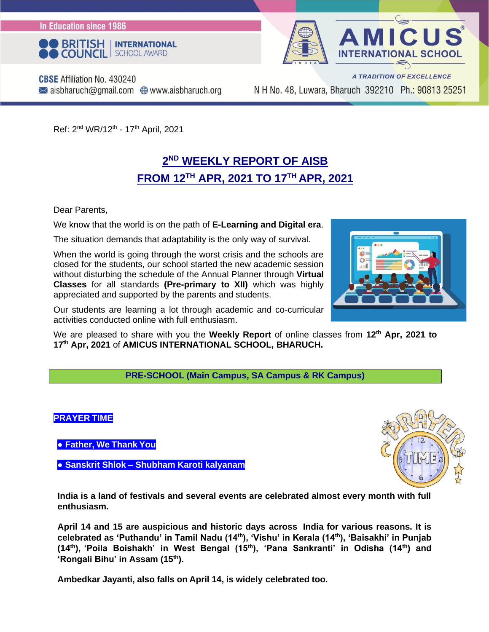In Education since 1986





**CBSE** Affiliation No. 430240  $\blacktriangleright$  aisbharuch@gmail.com  $\oplus$  www.aisbharuch.org

N H No. 48, Luwara, Bharuch 392210 Ph.: 90813 25251

Ref: 2<sup>nd</sup> WR/12<sup>th</sup> - 17<sup>th</sup> April, 2021

#### **2 ND WEEKLY REPORT OF AISB FROM 12TH APR, 2021 TO 17 TH APR, 2021**

Dear Parents,

We know that the world is on the path of **E-Learning and Digital era**.

The situation demands that adaptability is the only way of survival.

When the world is going through the worst crisis and the schools are closed for the students, our school started the new academic session without disturbing the schedule of the Annual Planner through **Virtual Classes** for all standards **(Pre-primary to XII)** which was highly appreciated and supported by the parents and students.

Our students are learning a lot through academic and co-curricular activities conducted online with full enthusiasm.

We are pleased to share with you the **Weekly Report** of online classes from **12th Apr, 2021 to 17 th Apr, 2021** of **AMICUS INTERNATIONAL SCHOOL, BHARUCH.**

**PRE-SCHOOL (Main Campus, SA Campus & RK Campus)**

#### **PRAYER TIME**

**● Father, We Thank You**

**● Sanskrit Shlok – Shubham Karoti kalyanam**



**India is a land of festivals and several events are celebrated almost every month with full enthusiasm.**

**April 14 and 15 are auspicious and historic days across India for various reasons. It is celebrated as 'Puthandu' in Tamil Nadu (14th), 'Vishu' in Kerala (14th), 'Baisakhi' in Punjab (14th), 'Poila Boishakh' in West Bengal (15th), 'Pana Sankranti' in Odisha (14th) and 'Rongali Bihu' in Assam (15th).**

**Ambedkar Jayanti, also falls on April 14, is widely celebrated too.**

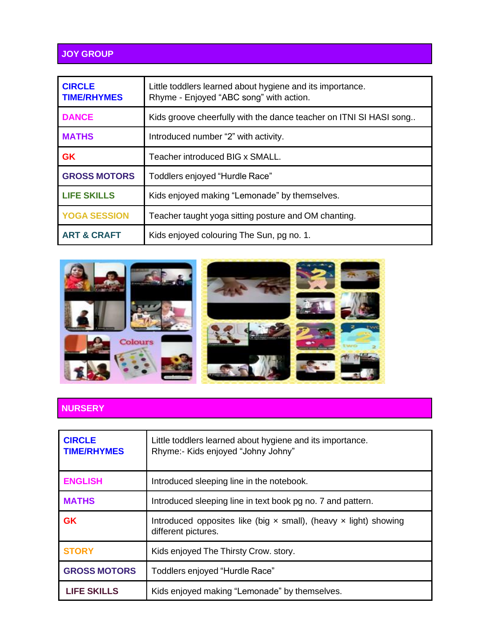#### **JOY GROUP**

| <b>CIRCLE</b><br><b>TIME/RHYMES</b> | Little toddlers learned about hygiene and its importance.<br>Rhyme - Enjoyed "ABC song" with action. |
|-------------------------------------|------------------------------------------------------------------------------------------------------|
| <b>DANCE</b>                        | Kids groove cheerfully with the dance teacher on ITNI SI HASI song                                   |
| <b>MATHS</b>                        | Introduced number "2" with activity.                                                                 |
| <b>GK</b>                           | Teacher introduced BIG x SMALL.                                                                      |
| <b>GROSS MOTORS</b>                 | Toddlers enjoyed "Hurdle Race"                                                                       |
| <b>LIFE SKILLS</b>                  | Kids enjoyed making "Lemonade" by themselves.                                                        |
| <b>YOGA SESSION</b>                 | Teacher taught yoga sitting posture and OM chanting.                                                 |
| <b>ART &amp; CRAFT</b>              | Kids enjoyed colouring The Sun, pg no. 1.                                                            |



#### **NURSERY**

| <b>CIRCLE</b><br><b>TIME/RHYMES</b> | Little toddlers learned about hygiene and its importance.<br>Rhyme:- Kids enjoyed "Johny Johny"       |
|-------------------------------------|-------------------------------------------------------------------------------------------------------|
| <b>ENGLISH</b>                      | Introduced sleeping line in the notebook.                                                             |
| <b>MATHS</b>                        | Introduced sleeping line in text book pg no. 7 and pattern.                                           |
| <b>GK</b>                           | Introduced opposites like (big $\times$ small), (heavy $\times$ light) showing<br>different pictures. |
| <b>STORY</b>                        | Kids enjoyed The Thirsty Crow. story.                                                                 |
| <b>GROSS MOTORS</b>                 | Toddlers enjoyed "Hurdle Race"                                                                        |
| <b>LIFE SKILLS</b>                  | Kids enjoyed making "Lemonade" by themselves.                                                         |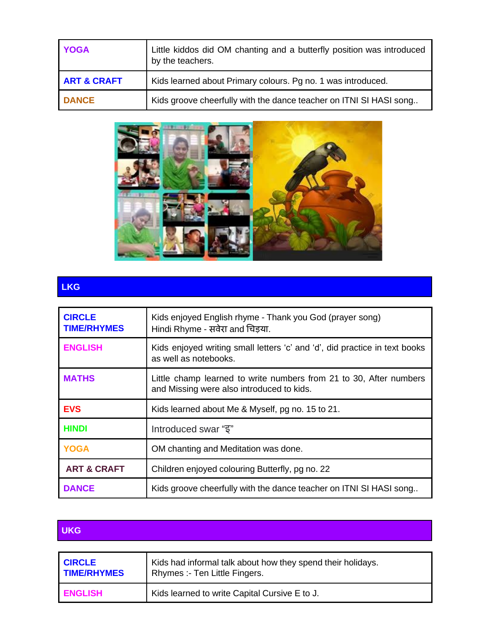| <b>YOGA</b>            | Little kiddos did OM chanting and a butterfly position was introduced<br>by the teachers. |
|------------------------|-------------------------------------------------------------------------------------------|
| <b>ART &amp; CRAFT</b> | Kids learned about Primary colours. Pg no. 1 was introduced.                              |
| <b>DANCE</b>           | Kids groove cheerfully with the dance teacher on ITNI SI HASI song                        |



### **LKG**

| <b>CIRCLE</b><br><b>TIME/RHYMES</b> | Kids enjoyed English rhyme - Thank you God (prayer song)<br>Hindi Rhyme - सवेरा and चिड़या.                     |
|-------------------------------------|-----------------------------------------------------------------------------------------------------------------|
| <b>ENGLISH</b>                      | Kids enjoyed writing small letters 'c' and 'd', did practice in text books<br>as well as notebooks.             |
| <b>MATHS</b>                        | Little champ learned to write numbers from 21 to 30, After numbers<br>and Missing were also introduced to kids. |
| <b>EVS</b>                          | Kids learned about Me & Myself, pg no. 15 to 21.                                                                |
| <b>HINDI</b>                        | lntroduced swar " $\overline{s}$ "                                                                              |
| <b>YOGA</b>                         | OM chanting and Meditation was done.                                                                            |
| <b>ART &amp; CRAFT</b>              | Children enjoyed colouring Butterfly, pg no. 22                                                                 |
| <b>DANCE</b>                        | Kids groove cheerfully with the dance teacher on ITNI SI HASI song                                              |

#### **UKG**

| <b>CIRCLE</b>      | Kids had informal talk about how they spend their holidays. |
|--------------------|-------------------------------------------------------------|
| <b>TIME/RHYMES</b> | Rhymes :- Ten Little Fingers.                               |
| <b>ENGLISH</b>     | Kids learned to write Capital Cursive E to J.               |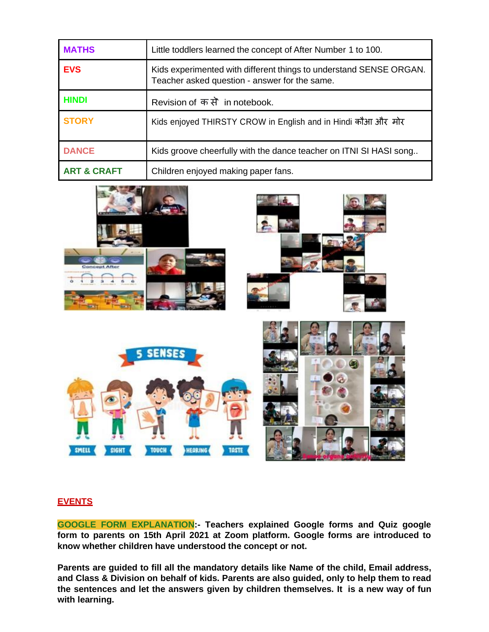| <b>MATHS</b>           | Little toddlers learned the concept of After Number 1 to 100.                                                       |
|------------------------|---------------------------------------------------------------------------------------------------------------------|
| <b>EVS</b>             | Kids experimented with different things to understand SENSE ORGAN.<br>Teacher asked question - answer for the same. |
| <b>HINDI</b>           | Revision of कसे in notebook.                                                                                        |
| <b>STORY</b>           | Kids enjoyed THIRSTY CROW in English and in Hindi कौआ और मोर                                                        |
| <b>DANCE</b>           | Kids groove cheerfully with the dance teacher on ITNI SI HASI song                                                  |
| <b>ART &amp; CRAFT</b> | Children enjoyed making paper fans.                                                                                 |



#### **EVENTS**

**GOOGLE FORM EXPLANATION:- Teachers explained Google forms and Quiz google form to parents on 15th April 2021 at Zoom platform. Google forms are introduced to know whether children have understood the concept or not.**

**Parents are guided to fill all the mandatory details like Name of the child, Email address, and Class & Division on behalf of kids. Parents are also guided, only to help them to read the sentences and let the answers given by children themselves. It is a new way of fun with learning.**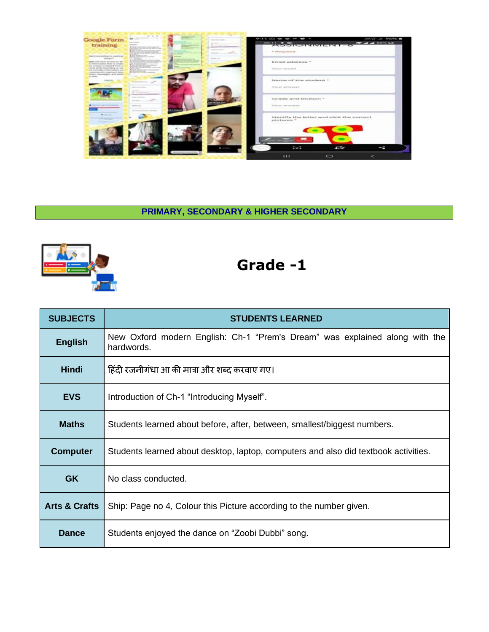

**PRIMARY, SECONDARY & HIGHER SECONDARY**



| <b>SUBJECTS</b>          | <b>STUDENTS LEARNED</b>                                                                   |
|--------------------------|-------------------------------------------------------------------------------------------|
| <b>English</b>           | New Oxford modern English: Ch-1 "Prem's Dream" was explained along with the<br>hardwords. |
| <b>Hindi</b>             | हिंदी रजनीगंधा आ की मात्रा और शब्द करवाए गए।                                              |
| <b>EVS</b>               | Introduction of Ch-1 "Introducing Myself".                                                |
| <b>Maths</b>             | Students learned about before, after, between, smallest/biggest numbers.                  |
| <b>Computer</b>          | Students learned about desktop, laptop, computers and also did textbook activities.       |
| <b>GK</b>                | No class conducted.                                                                       |
| <b>Arts &amp; Crafts</b> | Ship: Page no 4, Colour this Picture according to the number given.                       |
| <b>Dance</b>             | Students enjoyed the dance on "Zoobi Dubbi" song.                                         |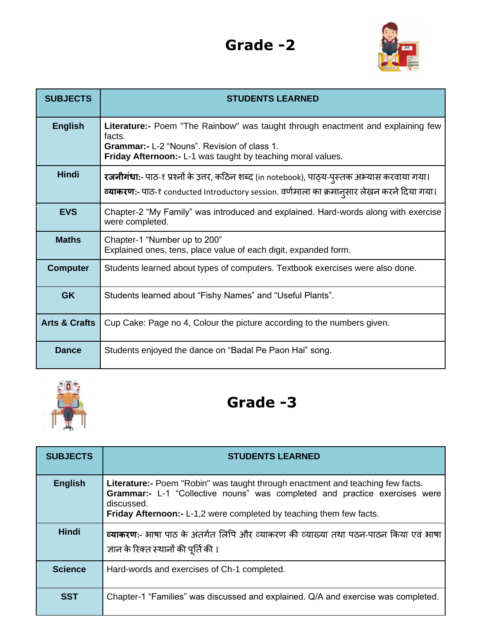

| <b>SUBJECTS</b>          | <b>STUDENTS LEARNED</b>                                                                                                                                                                                                |
|--------------------------|------------------------------------------------------------------------------------------------------------------------------------------------------------------------------------------------------------------------|
| <b>English</b>           | <b>Literature:-</b> Poem "The Rainbow" was taught through enactment and explaining few<br>facts.<br><b>Grammar:- L-2 "Nouns". Revision of class 1.</b><br>Friday Afternoon: - L-1 was taught by teaching moral values. |
| <b>Hindi</b>             | रजनीगंधा:- पाठ-१ प्रश्नों के उत्तर, कठिन शब्द (in notebook), पाठ्य-पुस्तक अभ्यास करवाया गया।<br><mark>व्याकरण:</mark> - पाठ-१ conducted Introductory session. वर्णमाला का क्रमान् <b>सार लेखन करने दिया गया</b> ।      |
| <b>EVS</b>               | Chapter-2 "My Family" was introduced and explained. Hard-words along with exercise<br>were completed.                                                                                                                  |
| <b>Maths</b>             | Chapter-1 "Number up to 200"<br>Explained ones, tens, place value of each digit, expanded form.                                                                                                                        |
| <b>Computer</b>          | Students learned about types of computers. Textbook exercises were also done.                                                                                                                                          |
| <b>GK</b>                | Students learned about "Fishy Names" and "Useful Plants".                                                                                                                                                              |
| <b>Arts &amp; Crafts</b> | Cup Cake: Page no 4, Colour the picture according to the numbers given.                                                                                                                                                |
| <b>Dance</b>             | Students enjoyed the dance on "Badal Pe Paon Hai" song.                                                                                                                                                                |



| <b>SUBJECTS</b> | <b>STUDENTS LEARNED</b>                                                                                                                                                                                                                                   |
|-----------------|-----------------------------------------------------------------------------------------------------------------------------------------------------------------------------------------------------------------------------------------------------------|
| <b>English</b>  | <b>Literature:-</b> Poem "Robin" was taught through enactment and teaching few facts.<br>Grammar:- L-1 "Collective nouns" was completed and practice exercises were<br>discussed.<br>Friday Afternoon: - L-1,2 were completed by teaching them few facts. |
| <b>Hindi</b>    | व्याकरण:- भाषा पाठ के अंतर्गत लिपि और व्याकरण की व्याख्या तथा पठन-पाठन किया एवं भाषा<br>ज्ञान के रिक्त स्थानों की पूर्ति की ।                                                                                                                             |
| <b>Science</b>  | Hard-words and exercises of Ch-1 completed.                                                                                                                                                                                                               |
| <b>SST</b>      | Chapter-1 "Families" was discussed and explained. Q/A and exercise was completed.                                                                                                                                                                         |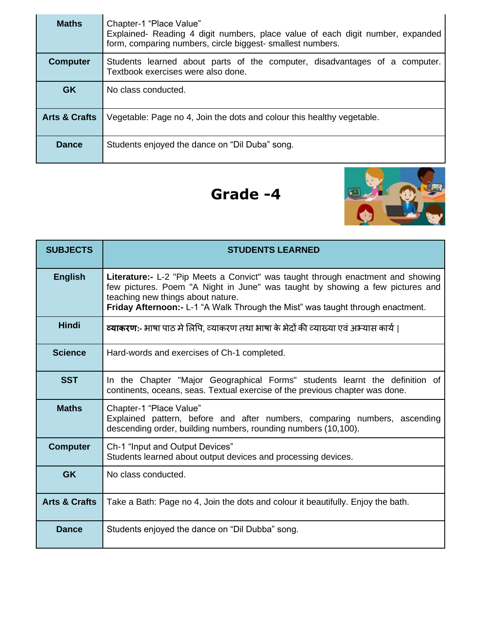| <b>Maths</b>             | Chapter-1 "Place Value"<br>Explained- Reading 4 digit numbers, place value of each digit number, expanded<br>form, comparing numbers, circle biggest- smallest numbers. |
|--------------------------|-------------------------------------------------------------------------------------------------------------------------------------------------------------------------|
| <b>Computer</b>          | Students learned about parts of the computer, disadvantages of a computer.<br>Textbook exercises were also done.                                                        |
| <b>GK</b>                | No class conducted.                                                                                                                                                     |
| <b>Arts &amp; Crafts</b> | Vegetable: Page no 4, Join the dots and colour this healthy vegetable.                                                                                                  |
| <b>Dance</b>             | Students enjoyed the dance on "Dil Duba" song.                                                                                                                          |



| <b>SUBJECTS</b>          | <b>STUDENTS LEARNED</b>                                                                                                                                                                                                                                                                 |
|--------------------------|-----------------------------------------------------------------------------------------------------------------------------------------------------------------------------------------------------------------------------------------------------------------------------------------|
| <b>English</b>           | Literature:- L-2 "Pip Meets a Convict" was taught through enactment and showing<br>few pictures. Poem "A Night in June" was taught by showing a few pictures and<br>teaching new things about nature.<br>Friday Afternoon:- L-1 "A Walk Through the Mist" was taught through enactment. |
| <b>Hindi</b>             | व्याकरण:- भाषा पाठ मे लिपि, व्याकरण तथा भाषा के भेदों की व्याख्या एवं अभ्यास कार्य।                                                                                                                                                                                                     |
| <b>Science</b>           | Hard-words and exercises of Ch-1 completed.                                                                                                                                                                                                                                             |
| <b>SST</b>               | In the Chapter "Major Geographical Forms" students learnt the definition of<br>continents, oceans, seas. Textual exercise of the previous chapter was done.                                                                                                                             |
| <b>Maths</b>             | Chapter-1 "Place Value"<br>Explained pattern, before and after numbers, comparing numbers, ascending<br>descending order, building numbers, rounding numbers (10,100).                                                                                                                  |
| <b>Computer</b>          | Ch-1 "Input and Output Devices"<br>Students learned about output devices and processing devices.                                                                                                                                                                                        |
| <b>GK</b>                | No class conducted.                                                                                                                                                                                                                                                                     |
| <b>Arts &amp; Crafts</b> | Take a Bath: Page no 4, Join the dots and colour it beautifully. Enjoy the bath.                                                                                                                                                                                                        |
| <b>Dance</b>             | Students enjoyed the dance on "Dil Dubba" song.                                                                                                                                                                                                                                         |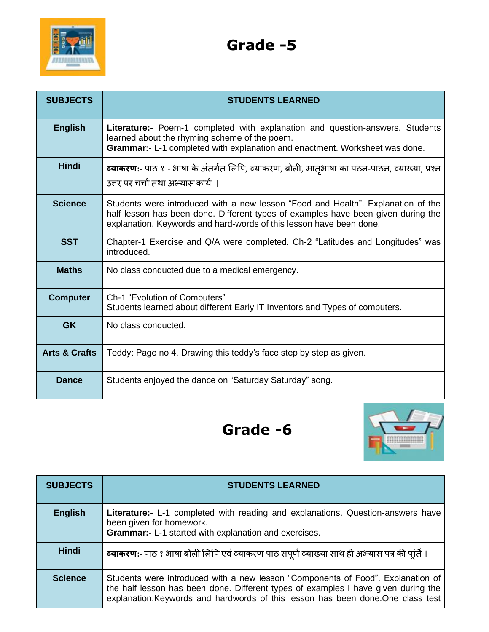

| <b>SUBJECTS</b>          | <b>STUDENTS LEARNED</b>                                                                                                                                                                                                                      |
|--------------------------|----------------------------------------------------------------------------------------------------------------------------------------------------------------------------------------------------------------------------------------------|
| <b>English</b>           | <b>Literature:-</b> Poem-1 completed with explanation and question-answers. Students<br>learned about the rhyming scheme of the poem.<br>Grammar:- L-1 completed with explanation and enactment. Worksheet was done.                         |
| <b>Hindi</b>             | <b>व्याकरण:</b> - पाठ १ - भाषा के अंतर्गत लिपि, व्याकरण, बोली, मातृभाषा का पठन-पाठन, व्याख्या, प्रश्न<br>उत्तर पर चर्चा तथा अभ्यास कार्य ।                                                                                                   |
| <b>Science</b>           | Students were introduced with a new lesson "Food and Health". Explanation of the<br>half lesson has been done. Different types of examples have been given during the<br>explanation. Keywords and hard-words of this lesson have been done. |
| <b>SST</b>               | Chapter-1 Exercise and Q/A were completed. Ch-2 "Latitudes and Longitudes" was<br>introduced.                                                                                                                                                |
| <b>Maths</b>             | No class conducted due to a medical emergency.                                                                                                                                                                                               |
| <b>Computer</b>          | Ch-1 "Evolution of Computers"<br>Students learned about different Early IT Inventors and Types of computers.                                                                                                                                 |
| <b>GK</b>                | No class conducted.                                                                                                                                                                                                                          |
| <b>Arts &amp; Crafts</b> | Teddy: Page no 4, Drawing this teddy's face step by step as given.                                                                                                                                                                           |
| <b>Dance</b>             | Students enjoyed the dance on "Saturday Saturday" song.                                                                                                                                                                                      |



| <b>SUBJECTS</b> | <b>STUDENTS LEARNED</b>                                                                                                                                                                                                                                   |
|-----------------|-----------------------------------------------------------------------------------------------------------------------------------------------------------------------------------------------------------------------------------------------------------|
| <b>English</b>  | Literature:- L-1 completed with reading and explanations. Question-answers have<br>been given for homework.<br>Grammar:- L-1 started with explanation and exercises.                                                                                      |
| <b>Hindi</b>    | व्याकरण:- पाठ १ भाषा बोली लिपि एवं व्याकरण पाठ संपूर्ण व्याख्या साथ ही अभ्यास पत्र की पूर्ति ।                                                                                                                                                            |
| <b>Science</b>  | Students were introduced with a new lesson "Components of Food". Explanation of<br>the half lesson has been done. Different types of examples I have given during the<br>explanation. Keywords and hardwords of this lesson has been done. One class test |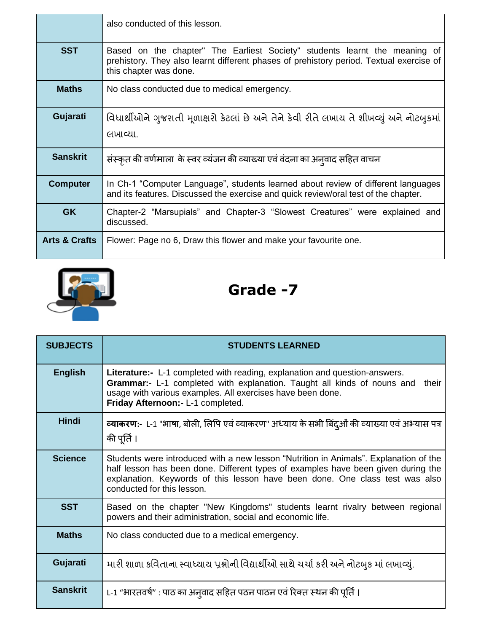|                          | also conducted of this lesson.                                                                                                                                                                  |
|--------------------------|-------------------------------------------------------------------------------------------------------------------------------------------------------------------------------------------------|
| <b>SST</b>               | Based on the chapter" The Earliest Society" students learnt the meaning of<br>prehistory. They also learnt different phases of prehistory period. Textual exercise of<br>this chapter was done. |
| <b>Maths</b>             | No class conducted due to medical emergency.                                                                                                                                                    |
| Gujarati                 | વિધાર્થીઓને ગુજરાતી મૂળાક્ષરો કેટલાં છે અને તેને કેવી રીતે લખાય તે શીખવ્યું અને નોટબુકમાં<br>લખાવ્યા.                                                                                           |
| <b>Sanskrit</b>          | संस्कृत की वर्णमाला के स्वर व्यंजन की व्याख्या एवं वंदना का अन् वाद सहित वाचन                                                                                                                   |
| <b>Computer</b>          | In Ch-1 "Computer Language", students learned about review of different languages<br>and its features. Discussed the exercise and quick review/oral test of the chapter.                        |
| <b>GK</b>                | Chapter-2 "Marsupials" and Chapter-3 "Slowest Creatures" were explained and<br>discussed.                                                                                                       |
| <b>Arts &amp; Crafts</b> | Flower: Page no 6, Draw this flower and make your favourite one.                                                                                                                                |



**SUBJECTS STUDENTS LEARNED English Literature:-** L-1 completed with reading, explanation and question-answers. **Grammar:-** L-1 completed with explanation. Taught all kinds of nouns and their usage with various examples. All exercises have been done. **Friday Afternoon:-** L-1 completed. **Hindi | व्याकरण:**- L-1 "भाषा, बोली, लिपि एवं व्याकरण" अध्याय के सभी बिंदुओं की व्याख्या एवं अभ्यास पत्र की पूर्ति । **Science** Students were introduced with a new lesson "Nutrition in Animals". Explanation of the half lesson has been done. Different types of examples have been given during the explanation. Keywords of this lesson have been done. One class test was also conducted for this lesson. **SST** Based on the chapter "New Kingdoms" students learnt rivalry between regional powers and their administration, social and economic life. **Maths** | No class conducted due to a medical emergency. **Gujarati |** મારી શાળા કવિતાના સ્વાધ્યાય પ્રશ્નોની વિદ્યાર્થીઓ સાથે ચર્ચા કરી અને નોટબુક માં લખાવ્યું. Sanskrit | L-1 "भारतवर्ष" : पाठ का अनुवाद सहित पठन पाठन एवं रिक्त स्थन की पूर्ति ।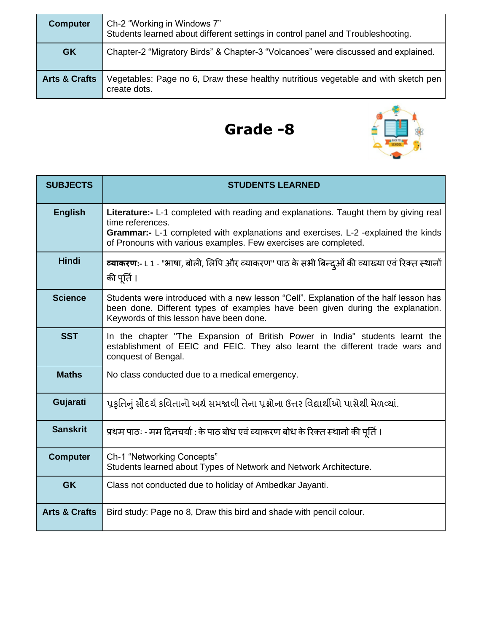| <b>Computer</b>          | Ch-2 "Working in Windows 7"<br>Students learned about different settings in control panel and Troubleshooting. |
|--------------------------|----------------------------------------------------------------------------------------------------------------|
| <b>GK</b>                | Chapter-2 "Migratory Birds" & Chapter-3 "Volcanoes" were discussed and explained.                              |
| <b>Arts &amp; Crafts</b> | Vegetables: Page no 6, Draw these healthy nutritious vegetable and with sketch pen<br>create dots.             |



| <b>SUBJECTS</b>          | <b>STUDENTS LEARNED</b>                                                                                                                                                                                            |
|--------------------------|--------------------------------------------------------------------------------------------------------------------------------------------------------------------------------------------------------------------|
| <b>English</b>           | <b>Literature:-</b> L-1 completed with reading and explanations. Taught them by giving real<br>time references.<br>Grammar:- L-1 completed with explanations and exercises. L-2 -explained the kinds               |
|                          | of Pronouns with various examples. Few exercises are completed.                                                                                                                                                    |
| <b>Hindi</b>             | <b>व्याकरण:</b> - L 1 - "भाषा, बोली, लिपि और व्याकरण" पाठ के सभी बिन्द्ओं की व्याख्या एवं रिक्त स्थानों<br>की पूर्ति ।                                                                                             |
| <b>Science</b>           | Students were introduced with a new lesson "Cell". Explanation of the half lesson has<br>been done. Different types of examples have been given during the explanation.<br>Keywords of this lesson have been done. |
| <b>SST</b>               | In the chapter "The Expansion of British Power in India" students learnt the<br>establishment of EEIC and FEIC. They also learnt the different trade wars and<br>conquest of Bengal.                               |
| <b>Maths</b>             | No class conducted due to a medical emergency.                                                                                                                                                                     |
| Gujarati                 | પ્રકૃતિનું સૌદર્ય કવિતાનો અર્થ સમજાવી તેના પ્રશ્નોના ઉત્તર વિદ્યાર્થીઓ પાસેથી મેળવ્યાં.                                                                                                                            |
| <b>Sanskrit</b>          | प्रथम पाठः - मम दिनचर्या : के पाठ बोध एवं व्याकरण बोध के रिक्त स्थानो की पूर्ति ।                                                                                                                                  |
| <b>Computer</b>          | Ch-1 "Networking Concepts"<br>Students learned about Types of Network and Network Architecture.                                                                                                                    |
| <b>GK</b>                | Class not conducted due to holiday of Ambedkar Jayanti.                                                                                                                                                            |
| <b>Arts &amp; Crafts</b> | Bird study: Page no 8, Draw this bird and shade with pencil colour.                                                                                                                                                |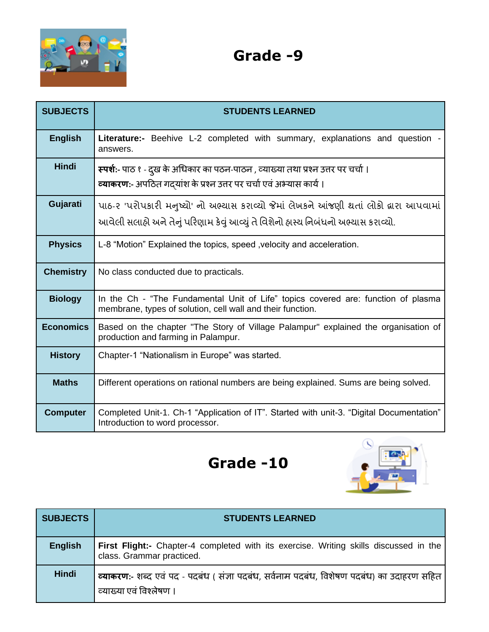

| <b>SUBJECTS</b>  | <b>STUDENTS LEARNED</b>                                                                                                                                                         |
|------------------|---------------------------------------------------------------------------------------------------------------------------------------------------------------------------------|
| <b>English</b>   | <b>Literature:-</b> Beehive L-2 completed with summary, explanations and question<br>answers.                                                                                   |
| <b>Hindi</b>     | <b>स्पर्शः</b> - पाठ १ - दुख के अधिकार का पठन-पाठन , व्याख्या तथा प्रश्न उत्तर पर चर्चा ।<br>व्याकरण:- अपठित गदयांश के प्रश्न उत्तर पर चर्चा एवं अभ्यास कार्य।                  |
| Gujarati         | પાઠ-૨ 'પરોપકારી મનુષ્યો' નો અભ્યાસ કરાવ્યો જેમાં લેખકને આંજણી થતાં લોકો દ્વારા આપવામાં<br>આવેલી સલાહ્યે અને તેનું પરિણામ કેવું આવ્યું તે વિશેનો હ્રાસ્ય નિબંધનો અભ્યાસ કરાવ્યો. |
| <b>Physics</b>   | L-8 "Motion" Explained the topics, speed, velocity and acceleration.                                                                                                            |
| <b>Chemistry</b> | No class conducted due to practicals.                                                                                                                                           |
| <b>Biology</b>   | In the Ch - "The Fundamental Unit of Life" topics covered are: function of plasma<br>membrane, types of solution, cell wall and their function.                                 |
| <b>Economics</b> | Based on the chapter "The Story of Village Palampur" explained the organisation of<br>production and farming in Palampur.                                                       |
| <b>History</b>   | Chapter-1 "Nationalism in Europe" was started.                                                                                                                                  |
| <b>Maths</b>     | Different operations on rational numbers are being explained. Sums are being solved.                                                                                            |
| <b>Computer</b>  | Completed Unit-1. Ch-1 "Application of IT". Started with unit-3. "Digital Documentation"<br>Introduction to word processor.                                                     |



| <b>SUBJECTS</b> | <b>STUDENTS LEARNED</b>                                                                                              |
|-----------------|----------------------------------------------------------------------------------------------------------------------|
| <b>English</b>  | First Flight:- Chapter-4 completed with its exercise. Writing skills discussed in the<br>class. Grammar practiced.   |
| Hindi           | व्याकरण:- शब्द एवं पद - पदबंध ( संज्ञा पदबंध, सर्वनाम पदबंध, विशेषण पदबंध) का उदाहरण सहित<br>व्याख्या एवं विश्लेषण । |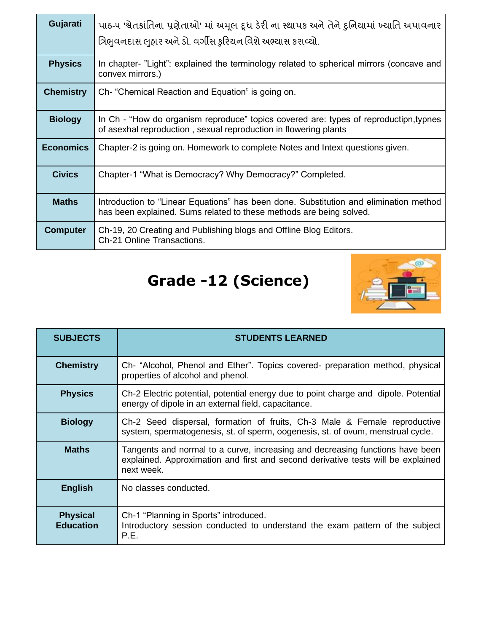| Gujarati         | પાઠ-૫ 'શ્વેતક્રાંતિના પ્રણેતાઓ' માં અમૂલ દૂધ ડેરી ના સ્થાપક અને તેને દુનિયામાં ખ્યાતિ અપાવનાર<br>ત્રિભુવનદાસ લુહાર અને ડો. વર્ગીસ કુરિયન વિશે અભ્યાસ કરાવ્યો. |
|------------------|---------------------------------------------------------------------------------------------------------------------------------------------------------------|
| <b>Physics</b>   | In chapter- "Light": explained the terminology related to spherical mirrors (concave and<br>convex mirrors.)                                                  |
| <b>Chemistry</b> | Ch- "Chemical Reaction and Equation" is going on.                                                                                                             |
| <b>Biology</b>   | In Ch - "How do organism reproduce" topics covered are: types of reproductipn,typnes<br>of asexhal reproduction, sexual reproduction in flowering plants      |
| <b>Economics</b> | Chapter-2 is going on. Homework to complete Notes and Intext questions given.                                                                                 |
| <b>Civics</b>    | Chapter-1 "What is Democracy? Why Democracy?" Completed.                                                                                                      |
| <b>Maths</b>     | Introduction to "Linear Equations" has been done. Substitution and elimination method<br>has been explained. Sums related to these methods are being solved.  |
| <b>Computer</b>  | Ch-19, 20 Creating and Publishing blogs and Offline Blog Editors.<br>Ch-21 Online Transactions.                                                               |

# **Grade -12 (Science)**



| <b>SUBJECTS</b>                     | <b>STUDENTS LEARNED</b>                                                                                                                                                         |
|-------------------------------------|---------------------------------------------------------------------------------------------------------------------------------------------------------------------------------|
| <b>Chemistry</b>                    | Ch- "Alcohol, Phenol and Ether". Topics covered- preparation method, physical<br>properties of alcohol and phenol.                                                              |
| <b>Physics</b>                      | Ch-2 Electric potential, potential energy due to point charge and dipole. Potential<br>energy of dipole in an external field, capacitance.                                      |
| <b>Biology</b>                      | Ch-2 Seed dispersal, formation of fruits, Ch-3 Male & Female reproductive<br>system, spermatogenesis, st. of sperm, oogenesis, st. of ovum, menstrual cycle.                    |
| <b>Maths</b>                        | Tangents and normal to a curve, increasing and decreasing functions have been<br>explained. Approximation and first and second derivative tests will be explained<br>next week. |
| <b>English</b>                      | No classes conducted.                                                                                                                                                           |
| <b>Physical</b><br><b>Education</b> | Ch-1 "Planning in Sports" introduced.<br>Introductory session conducted to understand the exam pattern of the subject<br>P.E.                                                   |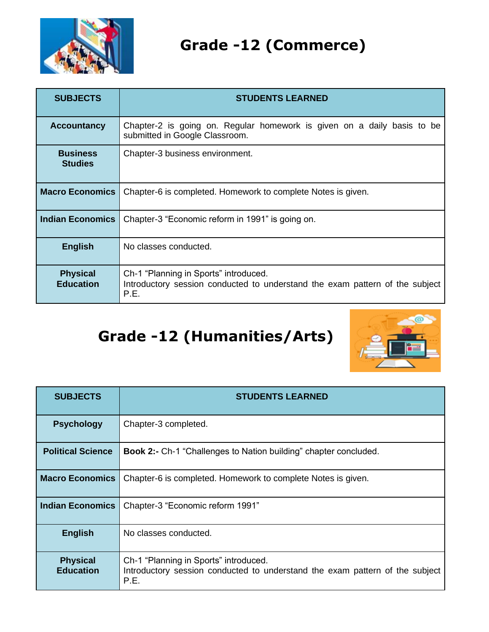

## **Grade -12 (Commerce)**

| <b>SUBJECTS</b>                     | <b>STUDENTS LEARNED</b>                                                                                                       |
|-------------------------------------|-------------------------------------------------------------------------------------------------------------------------------|
| <b>Accountancy</b>                  | Chapter-2 is going on. Regular homework is given on a daily basis to be<br>submitted in Google Classroom.                     |
| <b>Business</b><br><b>Studies</b>   | Chapter-3 business environment.                                                                                               |
| <b>Macro Economics</b>              | Chapter-6 is completed. Homework to complete Notes is given.                                                                  |
| <b>Indian Economics</b>             | Chapter-3 "Economic reform in 1991" is going on.                                                                              |
| <b>English</b>                      | No classes conducted.                                                                                                         |
| <b>Physical</b><br><b>Education</b> | Ch-1 "Planning in Sports" introduced.<br>Introductory session conducted to understand the exam pattern of the subject<br>P.E. |

# **Grade -12 (Humanities/Arts)**



| <b>SUBJECTS</b>                     | <b>STUDENTS LEARNED</b>                                                                                                       |
|-------------------------------------|-------------------------------------------------------------------------------------------------------------------------------|
| <b>Psychology</b>                   | Chapter-3 completed.                                                                                                          |
| <b>Political Science</b>            | <b>Book 2:-</b> Ch-1 "Challenges to Nation building" chapter concluded.                                                       |
| <b>Macro Economics</b>              | Chapter-6 is completed. Homework to complete Notes is given.                                                                  |
| <b>Indian Economics</b>             | Chapter-3 "Economic reform 1991"                                                                                              |
| <b>English</b>                      | No classes conducted.                                                                                                         |
| <b>Physical</b><br><b>Education</b> | Ch-1 "Planning in Sports" introduced.<br>Introductory session conducted to understand the exam pattern of the subject<br>P.E. |